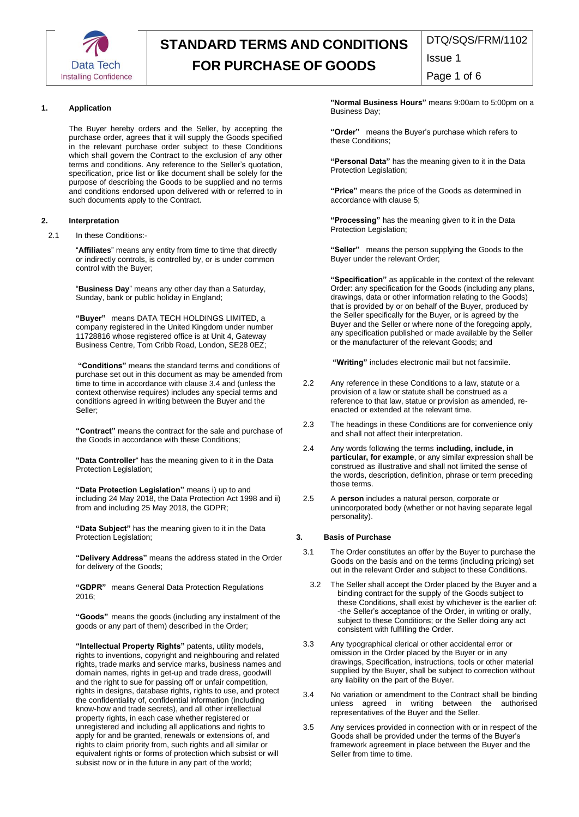

DTQ/SQS/FRM/1102 Issue 1

Page 1 of 6

## **1. Application**

The Buyer hereby orders and the Seller, by accepting the purchase order, agrees that it will supply the Goods specified in the relevant purchase order subject to these Conditions which shall govern the Contract to the exclusion of any other terms and conditions. Any reference to the Seller's quotation, specification, price list or like document shall be solely for the purpose of describing the Goods to be supplied and no terms and conditions endorsed upon delivered with or referred to in such documents apply to the Contract.

#### **2. Interpretation**

2.1 In these Conditions:-

"**Affiliates**" means any entity from time to time that directly or indirectly controls, is controlled by, or is under common control with the Buyer;

"**Business Day**" means any other day than a Saturday, Sunday, bank or public holiday in England;

**"Buyer"** means DATA TECH HOLDINGS LIMITED, a company registered in the United Kingdom under number 11728816 whose registered office is at Unit 4, Gateway Business Centre, Tom Cribb Road, London, SE28 0EZ;

**"Conditions"** means the standard terms and conditions of purchase set out in this document as may be amended from time to time in accordance with clause 3.4 and (unless the context otherwise requires) includes any special terms and conditions agreed in writing between the Buyer and the Seller;

**"Contract"** means the contract for the sale and purchase of the Goods in accordance with these Conditions;

**"Data Controller**" has the meaning given to it in the Data Protection Legislation;

**"Data Protection Legislation"** means i) up to and including 24 May 2018, the Data Protection Act 1998 and ii) from and including 25 May 2018, the GDPR;

**"Data Subject"** has the meaning given to it in the Data Protection Legislation;

**"Delivery Address"** means the address stated in the Order for delivery of the Goods;

**"GDPR"** means General Data Protection Regulations 2016;

**"Goods"** means the goods (including any instalment of the goods or any part of them) described in the Order;

**"Intellectual Property Rights"** patents, utility models, rights to inventions, copyright and neighbouring and related rights, trade marks and service marks, business names and domain names, rights in get-up and trade dress, goodwill and the right to sue for passing off or unfair competition, rights in designs, database rights, rights to use, and protect the confidentiality of, confidential information (including know-how and trade secrets), and all other intellectual property rights, in each case whether registered or unregistered and including all applications and rights to apply for and be granted, renewals or extensions of, and rights to claim priority from, such rights and all similar or equivalent rights or forms of protection which subsist or will subsist now or in the future in any part of the world;

**"Normal Business Hours"** means 9:00am to 5:00pm on a Business Day;

**"Order"** means the Buyer's purchase which refers to these Conditions;

**"Personal Data"** has the meaning given to it in the Data Protection Legislation;

**"Price"** means the price of the Goods as determined in accordance with clause 5;

**"Processing"** has the meaning given to it in the Data Protection Legislation;

**"Seller"** means the person supplying the Goods to the Buyer under the relevant Order;

**"Specification"** as applicable in the context of the relevant Order: any specification for the Goods (including any plans, drawings, data or other information relating to the Goods) that is provided by or on behalf of the Buyer, produced by the Seller specifically for the Buyer, or is agreed by the Buyer and the Seller or where none of the foregoing apply, any specification published or made available by the Seller or the manufacturer of the relevant Goods; and

**"Writing"** includes electronic mail but not facsimile.

- 2.2 Any reference in these Conditions to a law, statute or a provision of a law or statute shall be construed as a reference to that law, statue or provision as amended, reenacted or extended at the relevant time.
- 2.3 The headings in these Conditions are for convenience only and shall not affect their interpretation.
- 2.4 Any words following the terms **including, include, in particular, for example**, or any similar expression shall be construed as illustrative and shall not limited the sense of the words, description, definition, phrase or term preceding those terms.
- 2.5 A **person** includes a natural person, corporate or unincorporated body (whether or not having separate legal personality).

### **3. Basis of Purchase**

- 3.1 The Order constitutes an offer by the Buyer to purchase the Goods on the basis and on the terms (including pricing) set out in the relevant Order and subject to these Conditions.
	- 3.2 The Seller shall accept the Order placed by the Buyer and a binding contract for the supply of the Goods subject to these Conditions, shall exist by whichever is the earlier of: -the Seller's acceptance of the Order, in writing or orally, subject to these Conditions; or the Seller doing any act consistent with fulfilling the Order.
- 3.3 Any typographical clerical or other accidental error or omission in the Order placed by the Buyer or in any drawings, Specification, instructions, tools or other material supplied by the Buyer, shall be subject to correction without any liability on the part of the Buyer.
- 3.4 No variation or amendment to the Contract shall be binding unless agreed in writing between the authorised representatives of the Buyer and the Seller.
- 3.5 Any services provided in connection with or in respect of the Goods shall be provided under the terms of the Buyer's framework agreement in place between the Buyer and the Seller from time to time.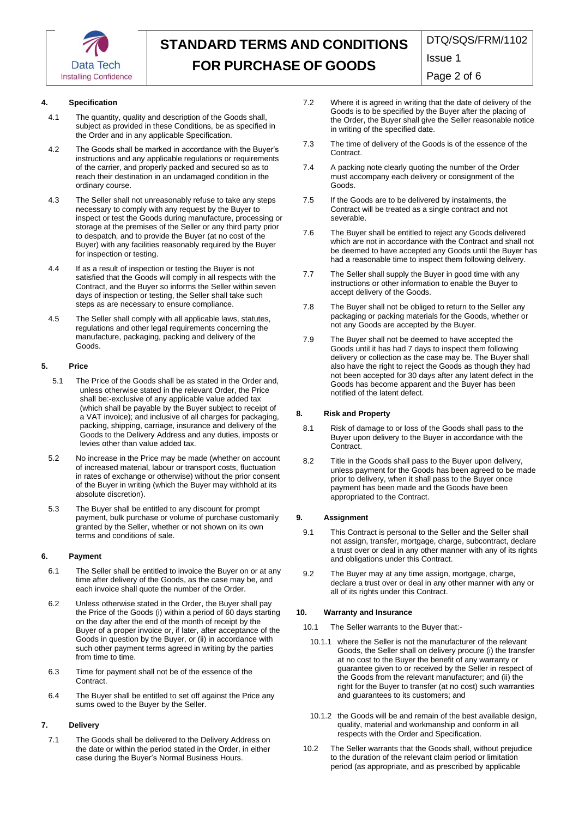

DTQ/SQS/FRM/1102

Issue 1

Page 2 of 6

### **4. Specification**

- 4.1 The quantity, quality and description of the Goods shall, subject as provided in these Conditions, be as specified in the Order and in any applicable Specification.
- 4.2 The Goods shall be marked in accordance with the Buyer's instructions and any applicable regulations or requirements of the carrier, and properly packed and secured so as to reach their destination in an undamaged condition in the ordinary course.
- 4.3 The Seller shall not unreasonably refuse to take any steps necessary to comply with any request by the Buyer to inspect or test the Goods during manufacture, processing or storage at the premises of the Seller or any third party prior to despatch, and to provide the Buyer (at no cost of the Buyer) with any facilities reasonably required by the Buyer for inspection or testing.
- 4.4 If as a result of inspection or testing the Buyer is not satisfied that the Goods will comply in all respects with the Contract, and the Buyer so informs the Seller within seven days of inspection or testing, the Seller shall take such steps as are necessary to ensure compliance.
- 4.5 The Seller shall comply with all applicable laws, statutes, regulations and other legal requirements concerning the manufacture, packaging, packing and delivery of the Goods.

## **5. Price**

- 5.1 The Price of the Goods shall be as stated in the Order and, unless otherwise stated in the relevant Order, the Price shall be:-exclusive of any applicable value added tax (which shall be payable by the Buyer subject to receipt of a VAT invoice); and inclusive of all charges for packaging, packing, shipping, carriage, insurance and delivery of the Goods to the Delivery Address and any duties, imposts or levies other than value added tax.
- 5.2 No increase in the Price may be made (whether on account of increased material, labour or transport costs, fluctuation in rates of exchange or otherwise) without the prior consent of the Buyer in writing (which the Buyer may withhold at its absolute discretion).
- 5.3 The Buyer shall be entitled to any discount for prompt payment, bulk purchase or volume of purchase customarily granted by the Seller, whether or not shown on its own terms and conditions of sale.

#### **6. Payment**

- 6.1 The Seller shall be entitled to invoice the Buyer on or at any time after delivery of the Goods, as the case may be, and each invoice shall quote the number of the Order.
- 6.2 Unless otherwise stated in the Order, the Buyer shall pay the Price of the Goods (i) within a period of 60 days starting on the day after the end of the month of receipt by the Buyer of a proper invoice or, if later, after acceptance of the Goods in question by the Buyer, or (ii) in accordance with such other payment terms agreed in writing by the parties from time to time.
- 6.3 Time for payment shall not be of the essence of the Contract.
- 6.4 The Buyer shall be entitled to set off against the Price any sums owed to the Buyer by the Seller.

#### **7. Delivery**

7.1 The Goods shall be delivered to the Delivery Address on the date or within the period stated in the Order, in either case during the Buyer's Normal Business Hours.

- 7.2 Where it is agreed in writing that the date of delivery of the Goods is to be specified by the Buyer after the placing of the Order, the Buyer shall give the Seller reasonable notice in writing of the specified date.
- 7.3 The time of delivery of the Goods is of the essence of the **Contract.**
- 7.4 A packing note clearly quoting the number of the Order must accompany each delivery or consignment of the Goods.
- 7.5 If the Goods are to be delivered by instalments, the Contract will be treated as a single contract and not severable.
- 7.6 The Buyer shall be entitled to reject any Goods delivered which are not in accordance with the Contract and shall not be deemed to have accepted any Goods until the Buyer has had a reasonable time to inspect them following delivery.
- 7.7 The Seller shall supply the Buyer in good time with any instructions or other information to enable the Buyer to accept delivery of the Goods.
- 7.8 The Buyer shall not be obliged to return to the Seller any packaging or packing materials for the Goods, whether or not any Goods are accepted by the Buyer.
- 7.9 The Buyer shall not be deemed to have accepted the Goods until it has had 7 days to inspect them following delivery or collection as the case may be. The Buyer shall also have the right to reject the Goods as though they had not been accepted for 30 days after any latent defect in the Goods has become apparent and the Buyer has been notified of the latent defect.

#### **8. Risk and Property**

- 8.1 Risk of damage to or loss of the Goods shall pass to the Buyer upon delivery to the Buyer in accordance with the Contract.
- 8.2 Title in the Goods shall pass to the Buyer upon delivery, unless payment for the Goods has been agreed to be made prior to delivery, when it shall pass to the Buyer once payment has been made and the Goods have been appropriated to the Contract.

#### **9. Assignment**

- 9.1 This Contract is personal to the Seller and the Seller shall not assign, transfer, mortgage, charge, subcontract, declare a trust over or deal in any other manner with any of its rights and obligations under this Contract.
- 9.2 The Buyer may at any time assign, mortgage, charge, declare a trust over or deal in any other manner with any or all of its rights under this Contract.

#### **10. Warranty and Insurance**

- 10.1 The Seller warrants to the Buyer that:-
	- 10.1.1 where the Seller is not the manufacturer of the relevant Goods, the Seller shall on delivery procure (i) the transfer at no cost to the Buyer the benefit of any warranty or guarantee given to or received by the Seller in respect of the Goods from the relevant manufacturer; and (ii) the right for the Buyer to transfer (at no cost) such warranties and guarantees to its customers; and
	- 10.1.2 the Goods will be and remain of the best available design, quality, material and workmanship and conform in all respects with the Order and Specification.
- 10.2 The Seller warrants that the Goods shall, without prejudice to the duration of the relevant claim period or limitation period (as appropriate, and as prescribed by applicable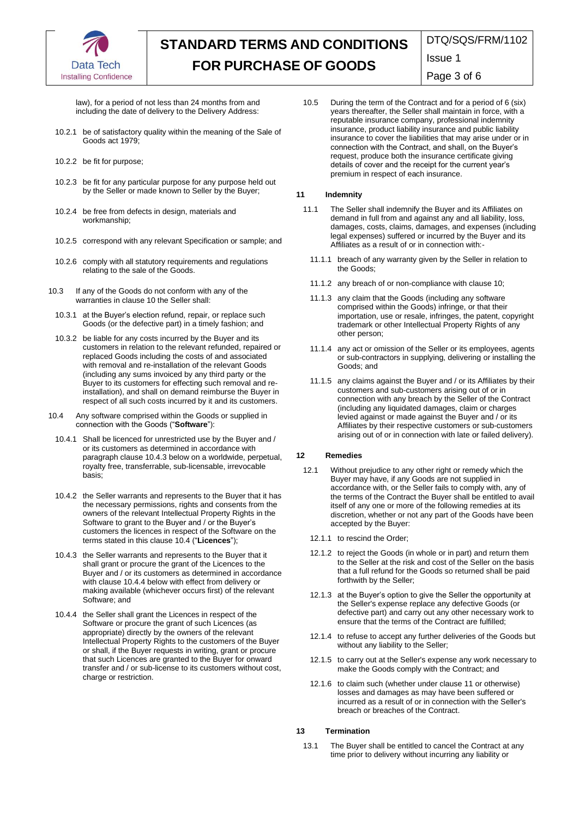

DTQ/SQS/FRM/1102

Issue 1

Page 3 of 6

law), for a period of not less than 24 months from and including the date of delivery to the Delivery Address:

- 10.2.1 be of satisfactory quality within the meaning of the Sale of Goods act 1979;
- 10.2.2 be fit for purpose;
- 10.2.3 be fit for any particular purpose for any purpose held out by the Seller or made known to Seller by the Buyer;
- 10.2.4 be free from defects in design, materials and workmanship;
- 10.2.5 correspond with any relevant Specification or sample; and
- 10.2.6 comply with all statutory requirements and regulations relating to the sale of the Goods.
- 10.3 If any of the Goods do not conform with any of the warranties in clause 10 the Seller shall:
	- 10.3.1 at the Buyer's election refund, repair, or replace such Goods (or the defective part) in a timely fashion; and
	- 10.3.2 be liable for any costs incurred by the Buyer and its customers in relation to the relevant refunded, repaired or replaced Goods including the costs of and associated with removal and re-installation of the relevant Goods (including any sums invoiced by any third party or the Buyer to its customers for effecting such removal and reinstallation), and shall on demand reimburse the Buyer in respect of all such costs incurred by it and its customers.
- 10.4 Any software comprised within the Goods or supplied in connection with the Goods ("**Software**"):
	- 10.4.1 Shall be licenced for unrestricted use by the Buyer and / or its customers as determined in accordance with paragraph clause 10.4.3 below on a worldwide, perpetual, royalty free, transferrable, sub-licensable, irrevocable basis;
	- 10.4.2 the Seller warrants and represents to the Buyer that it has the necessary permissions, rights and consents from the owners of the relevant Intellectual Property Rights in the Software to grant to the Buyer and / or the Buyer's customers the licences in respect of the Software on the terms stated in this clause 10.4 ("**Licences**");
	- 10.4.3 the Seller warrants and represents to the Buyer that it shall grant or procure the grant of the Licences to the Buyer and / or its customers as determined in accordance with clause 10.4.4 below with effect from delivery or making available (whichever occurs first) of the relevant Software; and
	- 10.4.4 the Seller shall grant the Licences in respect of the Software or procure the grant of such Licences (as appropriate) directly by the owners of the relevant Intellectual Property Rights to the customers of the Buyer or shall, if the Buyer requests in writing, grant or procure that such Licences are granted to the Buyer for onward transfer and / or sub-license to its customers without cost, charge or restriction.

10.5 During the term of the Contract and for a period of 6 (six) years thereafter, the Seller shall maintain in force, with a reputable insurance company, professional indemnity insurance, product liability insurance and public liability insurance to cover the liabilities that may arise under or in connection with the Contract, and shall, on the Buyer's request, produce both the insurance certificate giving details of cover and the receipt for the current year's premium in respect of each insurance.

# **11 Indemnity**

- 11.1 The Seller shall indemnify the Buyer and its Affiliates on demand in full from and against any and all liability, loss, damages, costs, claims, damages, and expenses (including legal expenses) suffered or incurred by the Buyer and its Affiliates as a result of or in connection with:
	- 11.1.1 breach of any warranty given by the Seller in relation to the Goods;
	- 11.1.2 any breach of or non-compliance with clause 10;
	- 11.1.3 any claim that the Goods (including any software comprised within the Goods) infringe, or that their importation, use or resale, infringes, the patent, copyright trademark or other Intellectual Property Rights of any other person;
	- 11.1.4 any act or omission of the Seller or its employees, agents or sub-contractors in supplying, delivering or installing the Goods; and
	- 11.1.5 any claims against the Buyer and / or its Affiliates by their customers and sub-customers arising out of or in connection with any breach by the Seller of the Contract (including any liquidated damages, claim or charges levied against or made against the Buyer and / or its Affiliates by their respective customers or sub-customers arising out of or in connection with late or failed delivery).

# **12 Remedies**

- 12.1 Without prejudice to any other right or remedy which the Buyer may have, if any Goods are not supplied in accordance with, or the Seller fails to comply with, any of the terms of the Contract the Buyer shall be entitled to avail itself of any one or more of the following remedies at its discretion, whether or not any part of the Goods have been accepted by the Buyer:
	- 12.1.1 to rescind the Order;
	- 12.1.2 to reject the Goods (in whole or in part) and return them to the Seller at the risk and cost of the Seller on the basis that a full refund for the Goods so returned shall be paid forthwith by the Seller;
	- 12.1.3 at the Buyer's option to give the Seller the opportunity at the Seller's expense replace any defective Goods (or defective part) and carry out any other necessary work to ensure that the terms of the Contract are fulfilled;
	- 12.1.4 to refuse to accept any further deliveries of the Goods but without any liability to the Seller;
	- 12.1.5 to carry out at the Seller's expense any work necessary to make the Goods comply with the Contract; and
	- 12.1.6 to claim such (whether under clause 11 or otherwise) losses and damages as may have been suffered or incurred as a result of or in connection with the Seller's breach or breaches of the Contract.

# **13 Termination**

13.1 The Buyer shall be entitled to cancel the Contract at any time prior to delivery without incurring any liability or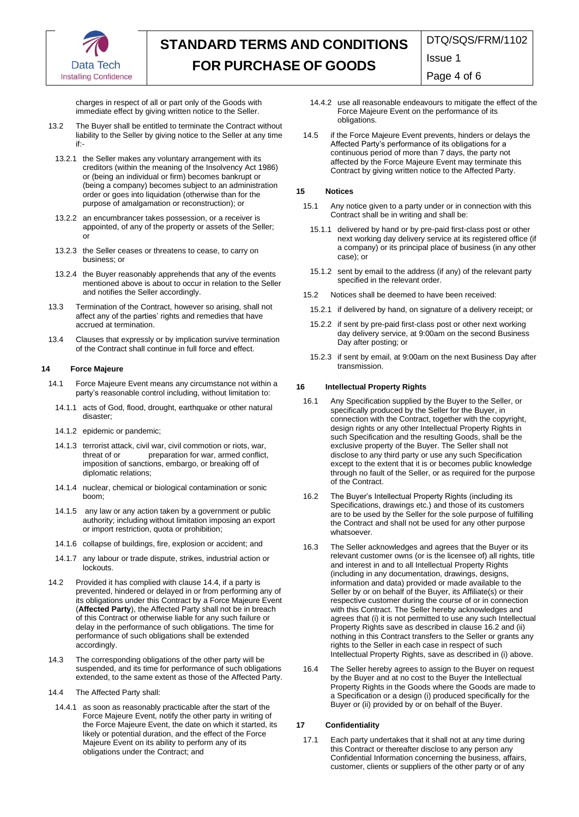

DTQ/SQS/FRM/1102

Issue 1

Page 4 of 6

charges in respect of all or part only of the Goods with immediate effect by giving written notice to the Seller.

- 13.2 The Buyer shall be entitled to terminate the Contract without liability to the Seller by giving notice to the Seller at any time if:-
	- 13.2.1 the Seller makes any voluntary arrangement with its creditors (within the meaning of the Insolvency Act 1986) or (being an individual or firm) becomes bankrupt or (being a company) becomes subject to an administration order or goes into liquidation (otherwise than for the purpose of amalgamation or reconstruction); or
	- 13.2.2 an encumbrancer takes possession, or a receiver is appointed, of any of the property or assets of the Seller; or
	- 13.2.3 the Seller ceases or threatens to cease, to carry on business; or
	- 13.2.4 the Buyer reasonably apprehends that any of the events mentioned above is about to occur in relation to the Seller and notifies the Seller accordingly.
- 13.3 Termination of the Contract, however so arising, shall not affect any of the parties' rights and remedies that have accrued at termination.
- 13.4 Clauses that expressly or by implication survive termination of the Contract shall continue in full force and effect.

#### **14 Force Majeure**

- 14.1 Force Majeure Event means any circumstance not within a party's reasonable control including, without limitation to:
	- 14.1.1 acts of God, flood, drought, earthquake or other natural disaster;
	- 14.1.2 epidemic or pandemic;
	- 14.1.3 terrorist attack, civil war, civil commotion or riots, war, preparation for war, armed conflict, imposition of sanctions, embargo, or breaking off of diplomatic relations;
	- 14.1.4 nuclear, chemical or biological contamination or sonic boom;
	- 14.1.5 any law or any action taken by a government or public authority; including without limitation imposing an export or import restriction, quota or prohibition;
	- 14.1.6 collapse of buildings, fire, explosion or accident; and
	- 14.1.7 any labour or trade dispute, strikes, industrial action or lockouts.
- 14.2 Provided it has complied with clause 14.4, if a party is prevented, hindered or delayed in or from performing any of its obligations under this Contract by a Force Majeure Event (**Affected Party**), the Affected Party shall not be in breach of this Contract or otherwise liable for any such failure or delay in the performance of such obligations. The time for performance of such obligations shall be extended accordingly.
- 14.3 The corresponding obligations of the other party will be suspended, and its time for performance of such obligations extended, to the same extent as those of the Affected Party.
- 14.4 The Affected Party shall:
- 14.4.1 as soon as reasonably practicable after the start of the Force Majeure Event, notify the other party in writing of the Force Majeure Event, the date on which it started, its likely or potential duration, and the effect of the Force Majeure Event on its ability to perform any of its obligations under the Contract; and
- 14.4.2 use all reasonable endeavours to mitigate the effect of the Force Majeure Event on the performance of its obligations.
- 14.5 if the Force Majeure Event prevents, hinders or delays the Affected Party's performance of its obligations for a continuous period of more than 7 days, the party not affected by the Force Majeure Event may terminate this Contract by giving written notice to the Affected Party.

#### **15 Notices**

- 15.1 Any notice given to a party under or in connection with this Contract shall be in writing and shall be:
	- 15.1.1 delivered by hand or by pre-paid first-class post or other next working day delivery service at its registered office (if a company) or its principal place of business (in any other case); or
	- 15.1.2 sent by email to the address (if any) of the relevant party specified in the relevant order.
- 15.2 Notices shall be deemed to have been received:
	- 15.2.1 if delivered by hand, on signature of a delivery receipt; or
	- 15.2.2 if sent by pre-paid first-class post or other next working day delivery service, at 9:00am on the second Business Day after posting; or
	- 15.2.3 if sent by email, at 9:00am on the next Business Day after transmission.

### **16 Intellectual Property Rights**

- 16.1 Any Specification supplied by the Buyer to the Seller, or specifically produced by the Seller for the Buyer, in connection with the Contract, together with the copyright, design rights or any other Intellectual Property Rights in such Specification and the resulting Goods, shall be the exclusive property of the Buyer. The Seller shall not disclose to any third party or use any such Specification except to the extent that it is or becomes public knowledge through no fault of the Seller, or as required for the purpose of the Contract.
- 16.2 The Buyer's Intellectual Property Rights (including its Specifications, drawings etc.) and those of its customers are to be used by the Seller for the sole purpose of fulfilling the Contract and shall not be used for any other purpose whatsoever.
- 16.3 The Seller acknowledges and agrees that the Buyer or its relevant customer owns (or is the licensee of) all rights, title and interest in and to all Intellectual Property Rights (including in any documentation, drawings, designs, information and data) provided or made available to the Seller by or on behalf of the Buyer, its Affiliate(s) or their respective customer during the course of or in connection with this Contract. The Seller hereby acknowledges and agrees that (i) it is not permitted to use any such Intellectual Property Rights save as described in clause 16.2 and (ii) nothing in this Contract transfers to the Seller or grants any rights to the Seller in each case in respect of such Intellectual Property Rights, save as described in (i) above.
- 16.4 The Seller hereby agrees to assign to the Buyer on request by the Buyer and at no cost to the Buyer the Intellectual Property Rights in the Goods where the Goods are made to a Specification or a design (i) produced specifically for the Buyer or (ii) provided by or on behalf of the Buyer.

#### **17 Confidentiality**

17.1 Each party undertakes that it shall not at any time during this Contract or thereafter disclose to any person any Confidential Information concerning the business, affairs, customer, clients or suppliers of the other party or of any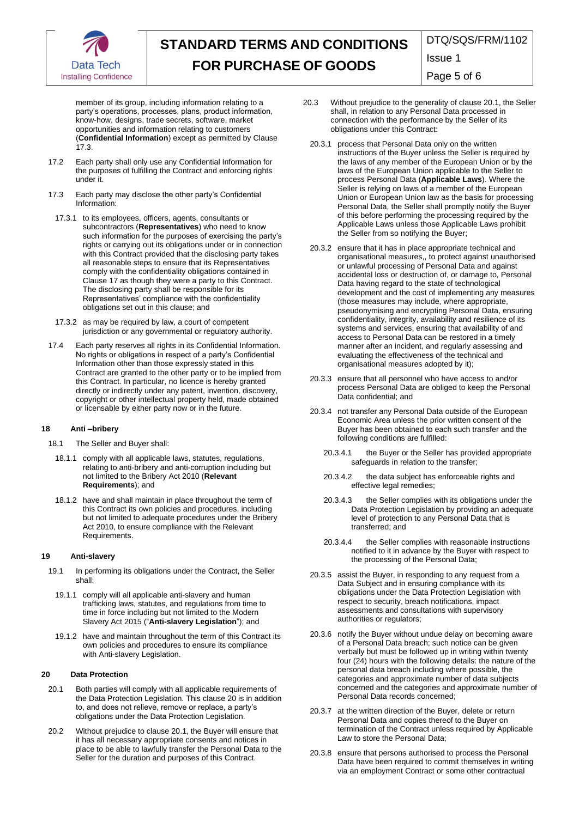

DTQ/SQS/FRM/1102

Issue 1

Page 5 of 6

member of its group, including information relating to a party's operations, processes, plans, product information, know-how, designs, trade secrets, software, market opportunities and information relating to customers (**Confidential Information**) except as permitted by Clause 17.3.

- 17.2 Each party shall only use any Confidential Information for the purposes of fulfilling the Contract and enforcing rights under it.
- 17.3 Each party may disclose the other party's Confidential Information:
	- 17.3.1 to its employees, officers, agents, consultants or subcontractors (**Representatives**) who need to know such information for the purposes of exercising the party's rights or carrying out its obligations under or in connection with this Contract provided that the disclosing party takes all reasonable steps to ensure that its Representatives comply with the confidentiality obligations contained in Clause 17 as though they were a party to this Contract. The disclosing party shall be responsible for its Representatives' compliance with the confidentiality obligations set out in this clause; and
- 17.3.2 as may be required by law, a court of competent jurisdiction or any governmental or regulatory authority.
- 17.4 Each party reserves all rights in its Confidential Information. No rights or obligations in respect of a party's Confidential Information other than those expressly stated in this Contract are granted to the other party or to be implied from this Contract. In particular, no licence is hereby granted directly or indirectly under any patent, invention, discovery, copyright or other intellectual property held, made obtained or licensable by either party now or in the future.

## **18 Anti –bribery**

- 18.1 The Seller and Buyer shall:
	- 18.1.1 comply with all applicable laws, statutes, regulations, relating to anti-bribery and anti-corruption including but not limited to the Bribery Act 2010 (**Relevant Requirements**); and
	- 18.1.2 have and shall maintain in place throughout the term of this Contract its own policies and procedures, including but not limited to adequate procedures under the Bribery Act 2010, to ensure compliance with the Relevant Requirements.

#### **19 Anti-slavery**

- 19.1 In performing its obligations under the Contract, the Seller shall:
	- 19.1.1 comply will all applicable anti-slavery and human trafficking laws, statutes, and regulations from time to time in force including but not limited to the Modern Slavery Act 2015 ("**Anti-slavery Legislation**"); and
	- 19.1.2 have and maintain throughout the term of this Contract its own policies and procedures to ensure its compliance with Anti-slavery Legislation.

#### **20 Data Protection**

- 20.1 Both parties will comply with all applicable requirements of the Data Protection Legislation. This clause 20 is in addition to, and does not relieve, remove or replace, a party's obligations under the Data Protection Legislation.
- 20.2 Without prejudice to clause 20.1, the Buyer will ensure that it has all necessary appropriate consents and notices in place to be able to lawfully transfer the Personal Data to the Seller for the duration and purposes of this Contract.
- 20.3 Without prejudice to the generality of clause 20.1, the Seller shall, in relation to any Personal Data processed in connection with the performance by the Seller of its obligations under this Contract:
	- 20.3.1 process that Personal Data only on the written instructions of the Buyer unless the Seller is required by the laws of any member of the European Union or by the laws of the European Union applicable to the Seller to process Personal Data (**Applicable Laws**). Where the Seller is relying on laws of a member of the European Union or European Union law as the basis for processing Personal Data, the Seller shall promptly notify the Buyer of this before performing the processing required by the Applicable Laws unless those Applicable Laws prohibit the Seller from so notifying the Buyer;
	- 20.3.2 ensure that it has in place appropriate technical and organisational measures,, to protect against unauthorised or unlawful processing of Personal Data and against accidental loss or destruction of, or damage to, Personal Data having regard to the state of technological development and the cost of implementing any measures (those measures may include, where appropriate, pseudonymising and encrypting Personal Data, ensuring confidentiality, integrity, availability and resilience of its systems and services, ensuring that availability of and access to Personal Data can be restored in a timely manner after an incident, and regularly assessing and evaluating the effectiveness of the technical and organisational measures adopted by it);
	- 20.3.3 ensure that all personnel who have access to and/or process Personal Data are obliged to keep the Personal Data confidential; and
	- 20.3.4 not transfer any Personal Data outside of the European Economic Area unless the prior written consent of the Buyer has been obtained to each such transfer and the following conditions are fulfilled:
		- 20.3.4.1 the Buyer or the Seller has provided appropriate safeguards in relation to the transfer;
		- 20.3.4.2 the data subject has enforceable rights and effective legal remedies;
		- 20.3.4.3 the Seller complies with its obligations under the Data Protection Legislation by providing an adequate level of protection to any Personal Data that is transferred; and
		- 20.3.4.4 the Seller complies with reasonable instructions notified to it in advance by the Buyer with respect to the processing of the Personal Data;
	- 20.3.5 assist the Buyer, in responding to any request from a Data Subject and in ensuring compliance with its obligations under the Data Protection Legislation with respect to security, breach notifications, impact assessments and consultations with supervisory authorities or regulators;
	- 20.3.6 notify the Buyer without undue delay on becoming aware of a Personal Data breach; such notice can be given verbally but must be followed up in writing within twenty four (24) hours with the following details: the nature of the personal data breach including where possible, the categories and approximate number of data subjects concerned and the categories and approximate number of Personal Data records concerned;
	- 20.3.7 at the written direction of the Buyer, delete or return Personal Data and copies thereof to the Buyer on termination of the Contract unless required by Applicable Law to store the Personal Data;
	- 20.3.8 ensure that persons authorised to process the Personal Data have been required to commit themselves in writing via an employment Contract or some other contractual